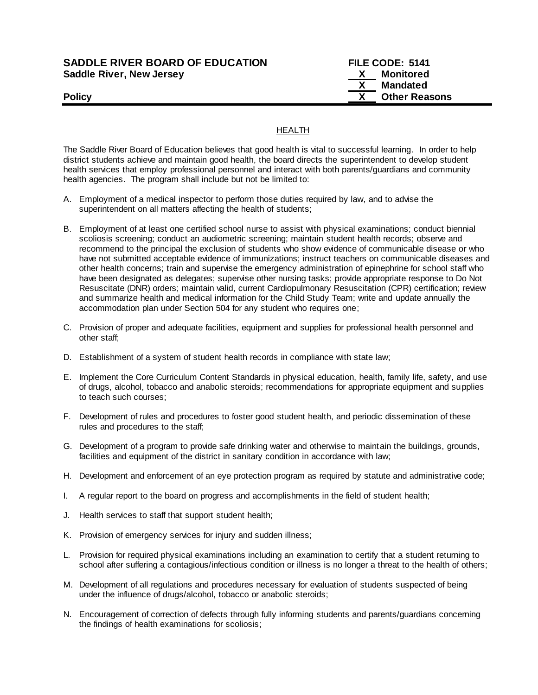## **SADDLE RIVER BOARD OF EDUCATION FILE CODE: 5141 Saddle River, New Jersey X Monitored**

 **X Mandated Policy COLLEGENS Policy COLLEGENS COLLEGENS COLLEGENS X Other Reasons** 

# HEALTH

The Saddle River Board of Education believes that good health is vital to successful learning. In order to help district students achieve and maintain good health, the board directs the superintendent to develop student health services that employ professional personnel and interact with both parents/guardians and community health agencies. The program shall include but not be limited to:

- A. Employment of a medical inspector to perform those duties required by law, and to advise the superintendent on all matters affecting the health of students;
- B. Employment of at least one certified school nurse to assist with physical examinations; conduct biennial scoliosis screening; conduct an audiometric screening; maintain student health records; observe and recommend to the principal the exclusion of students who show evidence of communicable disease or who have not submitted acceptable evidence of immunizations; instruct teachers on communicable diseases and other health concerns; train and supervise the emergency administration of epinephrine for school staff who have been designated as delegates; supervise other nursing tasks; provide appropriate response to Do Not Resuscitate (DNR) orders; maintain valid, current Cardiopulmonary Resuscitation (CPR) certification; review and summarize health and medical information for the Child Study Team; write and update annually the accommodation plan under Section 504 for any student who requires one;
- C. Provision of proper and adequate facilities, equipment and supplies for professional health personnel and other staff;
- D. Establishment of a system of student health records in compliance with state law;
- E. Implement the Core Curriculum Content Standards in physical education, health, family life, safety, and use of drugs, alcohol, tobacco and anabolic steroids; recommendations for appropriate equipment and supplies to teach such courses;
- F. Development of rules and procedures to foster good student health, and periodic dissemination of these rules and procedures to the staff;
- G. Development of a program to provide safe drinking water and otherwise to maintain the buildings, grounds, facilities and equipment of the district in sanitary condition in accordance with law;
- H. Development and enforcement of an eye protection program as required by statute and administrative code;
- I. A regular report to the board on progress and accomplishments in the field of student health;
- J. Health services to staff that support student health;
- K. Provision of emergency services for injury and sudden illness;
- L. Provision for required physical examinations including an examination to certify that a student returning to school after suffering a contagious/infectious condition or illness is no longer a threat to the health of others;
- M. Development of all regulations and procedures necessary for evaluation of students suspected of being under the influence of drugs/alcohol, tobacco or anabolic steroids;
- N. Encouragement of correction of defects through fully informing students and parents/guardians concerning the findings of health examinations for scoliosis;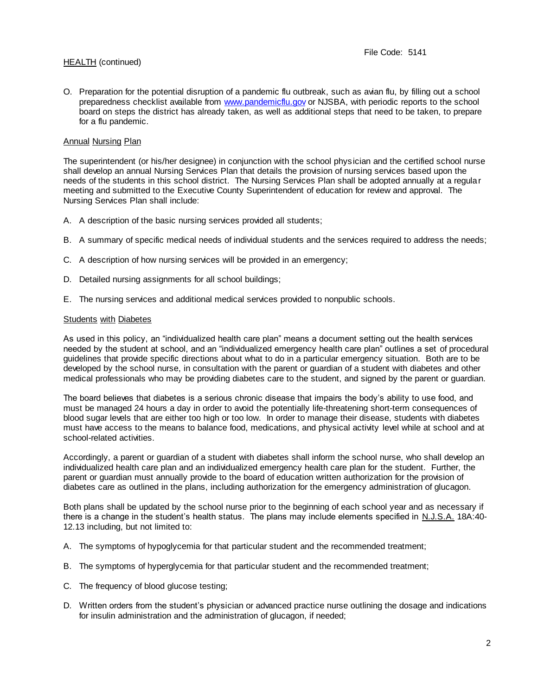O. Preparation for the potential disruption of a pandemic flu outbreak, such as avian flu, by filling out a school preparedness checklist available from [www.pandemicflu.gov](http://www.pandemicflu.gov/) or NJSBA, with periodic reports to the school board on steps the district has already taken, as well as additional steps that need to be taken, to prepare for a flu pandemic.

## Annual Nursing Plan

The superintendent (or his/her designee) in conjunction with the school physician and the certified school nurse shall develop an annual Nursing Services Plan that details the provision of nursing services based upon the needs of the students in this school district. The Nursing Services Plan shall be adopted annually at a regular meeting and submitted to the Executive County Superintendent of education for review and approval. The Nursing Services Plan shall include:

- A. A description of the basic nursing services provided all students;
- B. A summary of specific medical needs of individual students and the services required to address the needs;
- C. A description of how nursing services will be provided in an emergency;
- D. Detailed nursing assignments for all school buildings;
- E. The nursing services and additional medical services provided to nonpublic schools.

## Students with Diabetes

As used in this policy, an "individualized health care plan" means a document setting out the health services needed by the student at school, and an "individualized emergency health care plan" outlines a set of procedural guidelines that provide specific directions about what to do in a particular emergency situation. Both are to be developed by the school nurse, in consultation with the parent or guardian of a student with diabetes and other medical professionals who may be providing diabetes care to the student, and signed by the parent or guardian.

The board believes that diabetes is a serious chronic disease that impairs the body's ability to use food, and must be managed 24 hours a day in order to avoid the potentially life-threatening short-term consequences of blood sugar levels that are either too high or too low. In order to manage their disease, students with diabetes must have access to the means to balance food, medications, and physical activity level while at school and at school-related activities.

Accordingly, a parent or guardian of a student with diabetes shall inform the school nurse, who shall develop an individualized health care plan and an individualized emergency health care plan for the student. Further, the parent or guardian must annually provide to the board of education written authorization for the provision of diabetes care as outlined in the plans, including authorization for the emergency administration of glucagon.

Both plans shall be updated by the school nurse prior to the beginning of each school year and as necessary if there is a change in the student's health status. The plans may include elements specified in N.J.S.A. 18A:40-12.13 including, but not limited to:

- A. The symptoms of hypoglycemia for that particular student and the recommended treatment;
- B. The symptoms of hyperglycemia for that particular student and the recommended treatment;
- C. The frequency of blood glucose testing;
- D. Written orders from the student's physician or advanced practice nurse outlining the dosage and indications for insulin administration and the administration of glucagon, if needed;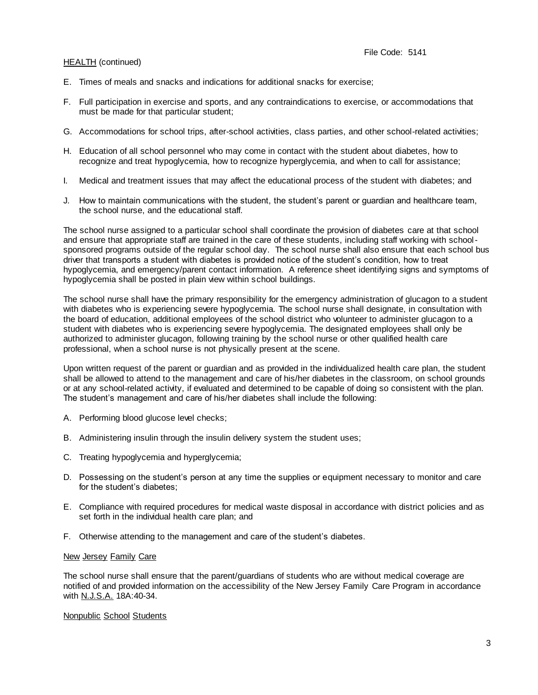- E. Times of meals and snacks and indications for additional snacks for exercise;
- F. Full participation in exercise and sports, and any contraindications to exercise, or accommodations that must be made for that particular student;
- G. Accommodations for school trips, after-school activities, class parties, and other school-related activities;
- H. Education of all school personnel who may come in contact with the student about diabetes, how to recognize and treat hypoglycemia, how to recognize hyperglycemia, and when to call for assistance;
- I. Medical and treatment issues that may affect the educational process of the student with diabetes; and
- J. How to maintain communications with the student, the student's parent or guardian and healthcare team, the school nurse, and the educational staff.

The school nurse assigned to a particular school shall coordinate the provision of diabetes care at that school and ensure that appropriate staff are trained in the care of these students, including staff working with schoolsponsored programs outside of the regular school day. The school nurse shall also ensure that each school bus driver that transports a student with diabetes is provided notice of the student's condition, how to treat hypoglycemia, and emergency/parent contact information. A reference sheet identifying signs and symptoms of hypoglycemia shall be posted in plain view within school buildings.

The school nurse shall have the primary responsibility for the emergency administration of glucagon to a student with diabetes who is experiencing severe hypoglycemia. The school nurse shall designate, in consultation with the board of education, additional employees of the school district who volunteer to administer glucagon to a student with diabetes who is experiencing severe hypoglycemia. The designated employees shall only be authorized to administer glucagon, following training by the school nurse or other qualified health care professional, when a school nurse is not physically present at the scene.

Upon written request of the parent or guardian and as provided in the individualized health care plan, the student shall be allowed to attend to the management and care of his/her diabetes in the classroom, on school grounds or at any school-related activity, if evaluated and determined to be capable of doing so consistent with the plan. The student's management and care of his/her diabetes shall include the following:

- A. Performing blood glucose level checks;
- B. Administering insulin through the insulin delivery system the student uses;
- C. Treating hypoglycemia and hyperglycemia;
- D. Possessing on the student's person at any time the supplies or equipment necessary to monitor and care for the student's diabetes;
- E. Compliance with required procedures for medical waste disposal in accordance with district policies and as set forth in the individual health care plan; and
- F. Otherwise attending to the management and care of the student's diabetes.

#### New Jersey Family Care

The school nurse shall ensure that the parent/guardians of students who are without medical coverage are notified of and provided information on the accessibility of the New Jersey Family Care Program in accordance with N.J.S.A. 18A:40-34.

## Nonpublic School Students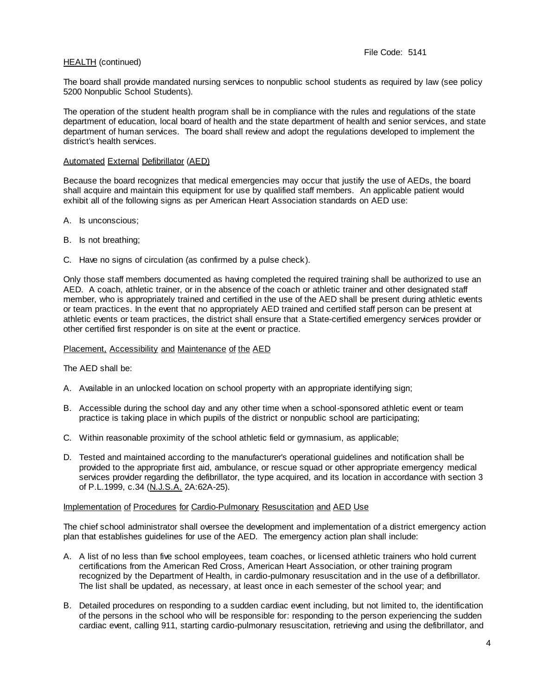The board shall provide mandated nursing services to nonpublic school students as required by law (see policy 5200 Nonpublic School Students).

The operation of the student health program shall be in compliance with the rules and regulations of the state department of education, local board of health and the state department of health and senior services, and state department of human services. The board shall review and adopt the regulations developed to implement the district's health services.

#### Automated External Defibrillator (AED)

Because the board recognizes that medical emergencies may occur that justify the use of AEDs, the board shall acquire and maintain this equipment for use by qualified staff members. An applicable patient would exhibit all of the following signs as per American Heart Association standards on AED use:

- A. Is unconscious;
- B. Is not breathing;
- C. Have no signs of circulation (as confirmed by a pulse check).

Only those staff members documented as having completed the required training shall be authorized to use an AED. A coach, athletic trainer, or in the absence of the coach or athletic trainer and other designated staff member, who is appropriately trained and certified in the use of the AED shall be present during athletic events or team practices. In the event that no appropriately AED trained and certified staff person can be present at athletic events or team practices, the district shall ensure that a State-certified emergency services provider or other certified first responder is on site at the event or practice.

#### Placement, Accessibility and Maintenance of the AED

The AED shall be:

- A. Available in an unlocked location on school property with an appropriate identifying sign;
- B. Accessible during the school day and any other time when a school-sponsored athletic event or team practice is taking place in which pupils of the district or nonpublic school are participating;
- C. Within reasonable proximity of the school athletic field or gymnasium, as applicable;
- D. Tested and maintained according to the manufacturer's operational guidelines and notification shall be provided to the appropriate first aid, ambulance, or rescue squad or other appropriate emergency medical services provider regarding the defibrillator, the type acquired, and its location in accordance with section 3 of P.L.1999, c.34 (N.J.S.A. 2A:62A-25).

#### Implementation of Procedures for Cardio-Pulmonary Resuscitation and AED Use

The chief school administrator shall oversee the development and implementation of a district emergency action plan that establishes guidelines for use of the AED. The emergency action plan shall include:

- A. A list of no less than five school employees, team coaches, or licensed athletic trainers who hold current certifications from the American Red Cross, American Heart Association, or other training program recognized by the Department of Health, in cardio-pulmonary resuscitation and in the use of a defibrillator. The list shall be updated, as necessary, at least once in each semester of the school year; and
- B. Detailed procedures on responding to a sudden cardiac event including, but not limited to, the identification of the persons in the school who will be responsible for: responding to the person experiencing the sudden cardiac event, calling 911, starting cardio-pulmonary resuscitation, retrieving and using the defibrillator, and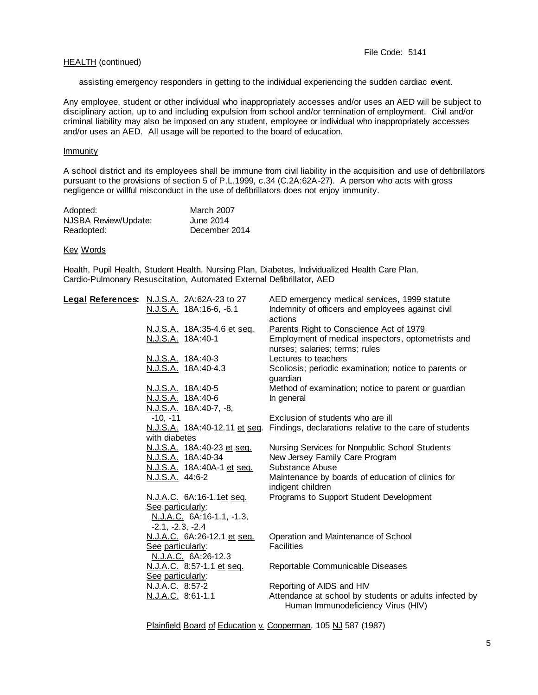assisting emergency responders in getting to the individual experiencing the sudden cardiac event.

Any employee, student or other individual who inappropriately accesses and/or uses an AED will be subject to disciplinary action, up to and including expulsion from school and/or termination of employment. Civil and/or criminal liability may also be imposed on any student, employee or individual who inappropriately accesses and/or uses an AED. All usage will be reported to the board of education.

#### Immunity

A school district and its employees shall be immune from civil liability in the acquisition and use of defibrillators pursuant to the provisions of section 5 of P.L.1999, c.34 (C.2A:62A-27). A person who acts with gross negligence or willful misconduct in the use of defibrillators does not enjoy immunity.

| Adopted:             | <b>March 2007</b> |
|----------------------|-------------------|
| NJSBA Review/Update: | June 2014         |
| Readopted:           | December 2014     |

#### Key Words

Health, Pupil Health, Student Health, Nursing Plan, Diabetes, Individualized Health Care Plan, Cardio-Pulmonary Resuscitation, Automated External Defibrillator, AED

| Legal References: N.J.S.A. 2A:62A-23 to 27 | AED emergency medical services, 1999 statute                                                 |
|--------------------------------------------|----------------------------------------------------------------------------------------------|
| N.J.S.A. 18A:16-6, -6.1                    | Indemnity of officers and employees against civil<br>actions                                 |
| N.J.S.A. 18A:35-4.6 et seq.                | Parents Right to Conscience Act of 1979                                                      |
| N.J.S.A. 18A:40-1                          | Employment of medical inspectors, optometrists and                                           |
|                                            | nurses; salaries; terms; rules                                                               |
| <u>N.J.S.A.</u> 18A:40-3                   | Lectures to teachers                                                                         |
| N.J.S.A. 18A:40-4.3                        | Scoliosis; periodic examination; notice to parents or<br>quardian                            |
| N.J.S.A. 18A:40-5                          | Method of examination; notice to parent or guardian                                          |
| N.J.S.A. 18A:40-6                          | In general                                                                                   |
| N.J.S.A. 18A:40-7, -8,                     |                                                                                              |
| $-10, -11$                                 | Exclusion of students who are ill                                                            |
| N.J.S.A. 18A:40-12.11 et seq.              | Findings, declarations relative to the care of students                                      |
| with diabetes                              |                                                                                              |
| N.J.S.A. 18A:40-23 et seq.                 | Nursing Services for Nonpublic School Students                                               |
| N.J.S.A. 18A:40-34                         | New Jersey Family Care Program                                                               |
| N.J.S.A. 18A:40A-1 et seq.                 | Substance Abuse                                                                              |
| N.J.S.A. 44:6-2                            | Maintenance by boards of education of clinics for<br>indigent children                       |
| N.J.A.C. 6A:16-1.1et seq.                  | Programs to Support Student Development                                                      |
| See particularly:                          |                                                                                              |
| N.J.A.C. 6A:16-1.1, -1.3,                  |                                                                                              |
| $-2.1, -2.3, -2.4$                         |                                                                                              |
| N.J.A.C. 6A:26-12.1 et seq.                | Operation and Maintenance of School                                                          |
| See particularly:                          | <b>Facilities</b>                                                                            |
| N.J.A.C. 6A:26-12.3                        |                                                                                              |
| N.J.A.C. 8:57-1.1 et seq.                  | Reportable Communicable Diseases                                                             |
| See particularly:                          |                                                                                              |
| N.J.A.C. 8:57-2                            | Reporting of AIDS and HIV                                                                    |
| N.J.A.C. 8:61-1.1                          | Attendance at school by students or adults infected by<br>Human Immunodeficiency Virus (HIV) |
|                                            |                                                                                              |

Plainfield Board of Education v. Cooperman, 105 NJ 587 (1987)